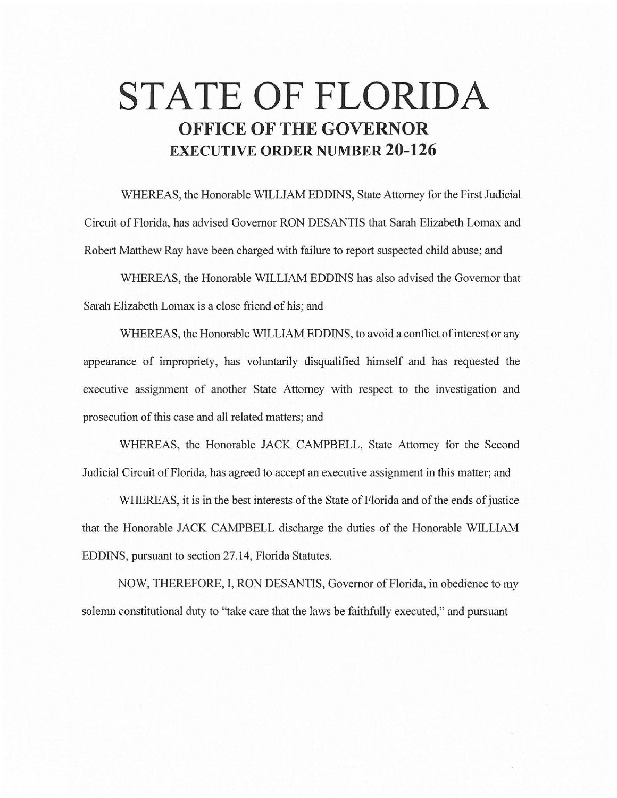# **STATE OF FLORIDA OFFICE OF THE GOVERNOR EXECUTIVE ORDER NUMBER 20-126**

WHEREAS, the Honorable WILLIAM EDDINS, State Attorney for the First Judicial Circuit of Florida, has advised Governor RON DESANTIS that Sarah Elizabeth Lomax and Robert Matthew Ray have been charged with failure to report suspected child abuse; and

WHEREAS, the Honorable WILLIAM EDDINS has also advised the Governor that Sarah Elizabeth Lomax is a close friend of his; and

WHEREAS, the Honorable WILLIAM EDDINS, to avoid a conflict of interest or any appearance of impropriety, has voluntarily disqualified himself and has requested the executive assignment of another State Attorney with respect to the investigation and prosecution of this case and all related matters; and

WHEREAS, the Honorable JACK CAMPBELL, State Attorney for the Second Judicial Circuit of Florida, has agreed to accept an executive assignment in this matter; and

WHEREAS, it is in the best interests of the State of Florida and of the ends of justice that the Honorable JACK CAMPBELL discharge the duties of the Honorable WILLIAM EDDINS, pursuant to section 27.14, Florida Statutes.

NOW, THEREFORE, I, RON DESANTIS, Governor of Florida, in obedience to my solemn constitutional duty to "take care that the laws be faithfully executed," and pursuant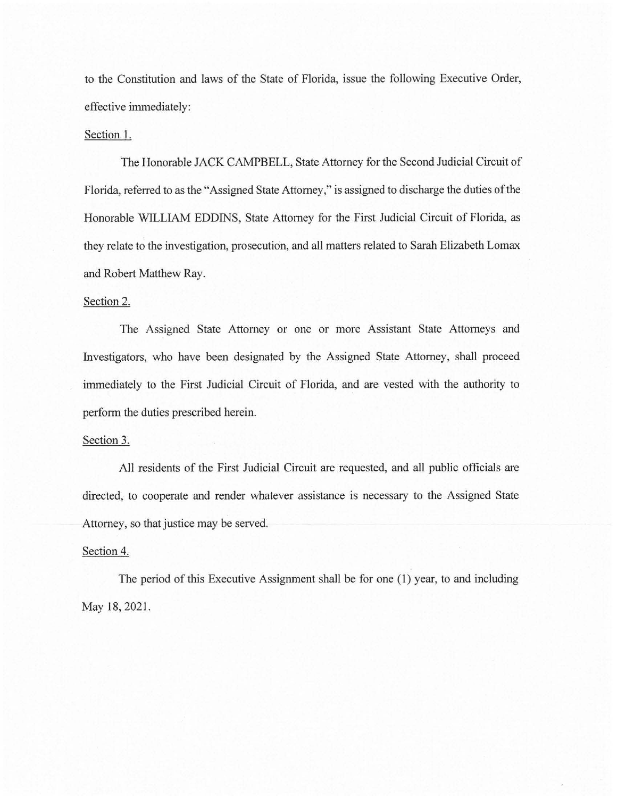to the Constitution and laws of the State of Florida, issue the following Executive Order, effective immediately:

## Section 1.

The Honorable JACK CAMPBELL, State Attorney for the Second Judicial Circuit of Florida, referred to as the "Assigned State Attorney," is assigned to discharge the duties of the Honorable WILLIAM EDDINS, State Attorney for the First Judicial Circuit of Florida, as they relate to the investigation, prosecution, and all matters related to Sarah Elizabeth Lomax and Robert Matthew Ray.

### Section 2.

The Assigned State Attorney or one or more Assistant State Attorneys and Investigators, who have been designated by the Assigned State Attorney, shall proceed immediately to the First Judicial Circuit of Florida, and are vested with the authority to perform the duties prescribed herein.

#### Section 3.

All residents of the First Judicial Circuit are requested, and all public officials are directed, to cooperate and render whatever assistance is necessary to the Assigned State Attorney, so that justice may be served.

## Section 4.

The period of this Executive Assignment shall be for one (1) year, to and including May 18, 2021.